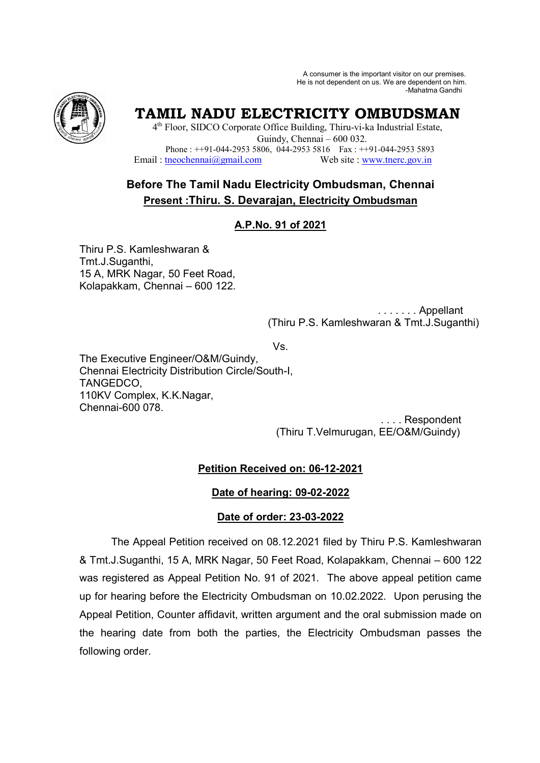A consumer is the important visitor on our premises. He is not dependent on us. We are dependent on him. -Mahatma Gandhi



# **TAMIL NADU ELECTRICITY OMBUDSMAN**

4<sup>th</sup> Floor, SIDCO Corporate Office Building, Thiru-vi-ka Industrial Estate, Guindy, Chennai – 600 032. Phone : ++91-044-2953 5806, 044-2953 5816 Fax : ++91-044-2953 5893 Email: tneochennai@gmail.com Web site : www.tnerc.gov.in

## **Before The Tamil Nadu Electricity Ombudsman, Chennai Present :Thiru. S. Devarajan, Electricity Ombudsman**

## **A.P.No. 91 of 2021**

Thiru P.S. Kamleshwaran & Tmt.J.Suganthi, 15 A, MRK Nagar, 50 Feet Road, Kolapakkam, Chennai – 600 122.

> . . . . . . . Appellant (Thiru P.S. Kamleshwaran & Tmt.J.Suganthi)

Vs.

The Executive Engineer/O&M/Guindy, Chennai Electricity Distribution Circle/South-I, TANGEDCO, 110KV Complex, K.K.Nagar, Chennai-600 078.

 . . . . Respondent (Thiru T.Velmurugan, EE/O&M/Guindy)

## **Petition Received on: 06-12-2021**

## **Date of hearing: 09-02-2022**

## **Date of order: 23-03-2022**

The Appeal Petition received on 08.12.2021 filed by Thiru P.S. Kamleshwaran & Tmt.J.Suganthi, 15 A, MRK Nagar, 50 Feet Road, Kolapakkam, Chennai – 600 122 was registered as Appeal Petition No. 91 of 2021. The above appeal petition came up for hearing before the Electricity Ombudsman on 10.02.2022. Upon perusing the Appeal Petition, Counter affidavit, written argument and the oral submission made on the hearing date from both the parties, the Electricity Ombudsman passes the following order.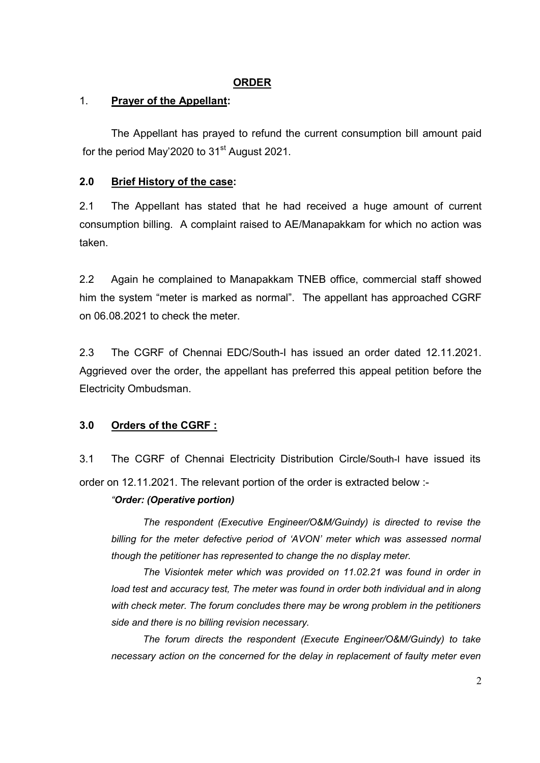#### **ORDER**

#### 1. **Prayer of the Appellant:**

The Appellant has prayed to refund the current consumption bill amount paid for the period May'2020 to 31<sup>st</sup> August 2021.

## **2.0 Brief History of the case:**

2.1 The Appellant has stated that he had received a huge amount of current consumption billing. A complaint raised to AE/Manapakkam for which no action was taken.

2.2 Again he complained to Manapakkam TNEB office, commercial staff showed him the system "meter is marked as normal". The appellant has approached CGRF on 06.08.2021 to check the meter.

2.3 The CGRF of Chennai EDC/South-I has issued an order dated 12.11.2021. Aggrieved over the order, the appellant has preferred this appeal petition before the Electricity Ombudsman.

## **3.0 Orders of the CGRF :**

3.1 The CGRF of Chennai Electricity Distribution Circle/South-I have issued its order on 12.11.2021. The relevant portion of the order is extracted below :-

#### *"Order: (Operative portion)*

*The respondent (Executive Engineer/O&M/Guindy) is directed to revise the billing for the meter defective period of 'AVON' meter which was assessed normal though the petitioner has represented to change the no display meter.* 

*The Visiontek meter which was provided on 11.02.21 was found in order in*  load test and accuracy test, The meter was found in order both individual and in along *with check meter. The forum concludes there may be wrong problem in the petitioners side and there is no billing revision necessary.* 

*The forum directs the respondent (Execute Engineer/O&M/Guindy) to take necessary action on the concerned for the delay in replacement of faulty meter even*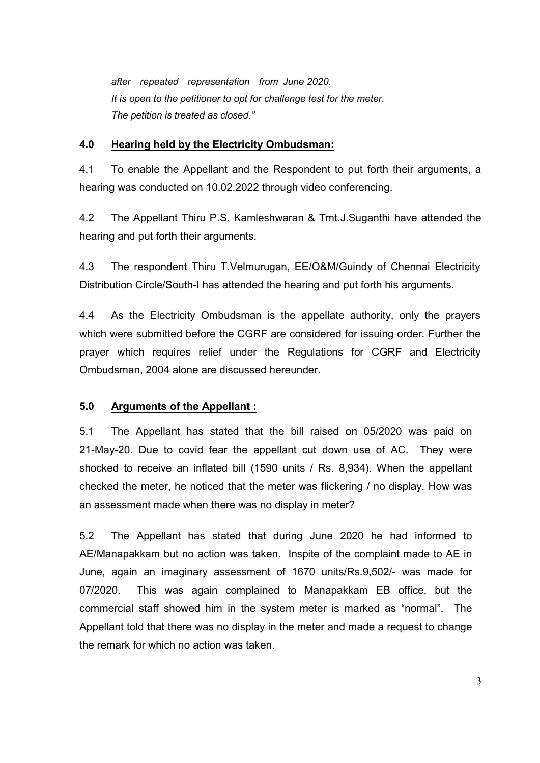*after repeated representation from June 2020. It is open to the petitioner to opt for challenge test for the meter. The petition is treated as closed."* 

#### **4.0 Hearing held by the Electricity Ombudsman:**

4.1 To enable the Appellant and the Respondent to put forth their arguments, a hearing was conducted on 10.02.2022 through video conferencing.

4.2 The Appellant Thiru P.S. Kamleshwaran & Tmt.J.Suganthi have attended the hearing and put forth their arguments.

4.3 The respondent Thiru T.Velmurugan, EE/O&M/Guindy of Chennai Electricity Distribution Circle/South-I has attended the hearing and put forth his arguments.

4.4 As the Electricity Ombudsman is the appellate authority, only the prayers which were submitted before the CGRF are considered for issuing order. Further the prayer which requires relief under the Regulations for CGRF and Electricity Ombudsman, 2004 alone are discussed hereunder.

## **5.0 Arguments of the Appellant :**

5.1 The Appellant has stated that the bill raised on 05/2020 was paid on 21-May-20. Due to covid fear the appellant cut down use of AC. They were shocked to receive an inflated bill (1590 units / Rs. 8,934). When the appellant checked the meter, he noticed that the meter was flickering / no display. How was an assessment made when there was no display in meter?

5.2 The Appellant has stated that during June 2020 he had informed to AE/Manapakkam but no action was taken. Inspite of the complaint made to AE in June, again an imaginary assessment of 1670 units/Rs.9,502/- was made for 07/2020. This was again complained to Manapakkam EB office, but the commercial staff showed him in the system meter is marked as "normal". The Appellant told that there was no display in the meter and made a request to change the remark for which no action was taken.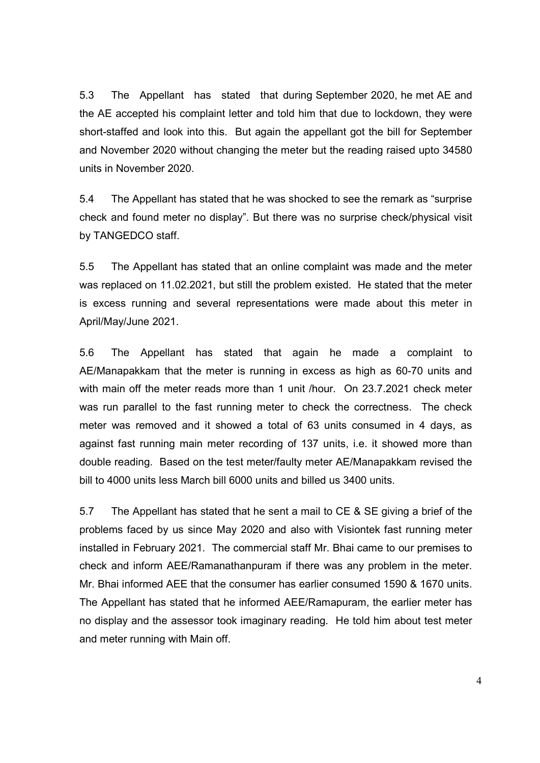5.3 The Appellant has stated that during September 2020, he met AE and the AE accepted his complaint letter and told him that due to lockdown, they were short-staffed and look into this. But again the appellant got the bill for September and November 2020 without changing the meter but the reading raised upto 34580 units in November 2020.

5.4 The Appellant has stated that he was shocked to see the remark as "surprise check and found meter no display". But there was no surprise check/physical visit by TANGEDCO staff.

5.5 The Appellant has stated that an online complaint was made and the meter was replaced on 11.02.2021, but still the problem existed. He stated that the meter is excess running and several representations were made about this meter in April/May/June 2021.

5.6 The Appellant has stated that again he made a complaint to AE/Manapakkam that the meter is running in excess as high as 60-70 units and with main off the meter reads more than 1 unit /hour. On 23.7.2021 check meter was run parallel to the fast running meter to check the correctness. The check meter was removed and it showed a total of 63 units consumed in 4 days, as against fast running main meter recording of 137 units, i.e. it showed more than double reading. Based on the test meter/faulty meter AE/Manapakkam revised the bill to 4000 units less March bill 6000 units and billed us 3400 units.

5.7 The Appellant has stated that he sent a mail to CE & SE giving a brief of the problems faced by us since May 2020 and also with Visiontek fast running meter installed in February 2021. The commercial staff Mr. Bhai came to our premises to check and inform AEE/Ramanathanpuram if there was any problem in the meter. Mr. Bhai informed AEE that the consumer has earlier consumed 1590 & 1670 units. The Appellant has stated that he informed AEE/Ramapuram, the earlier meter has no display and the assessor took imaginary reading. He told him about test meter and meter running with Main off.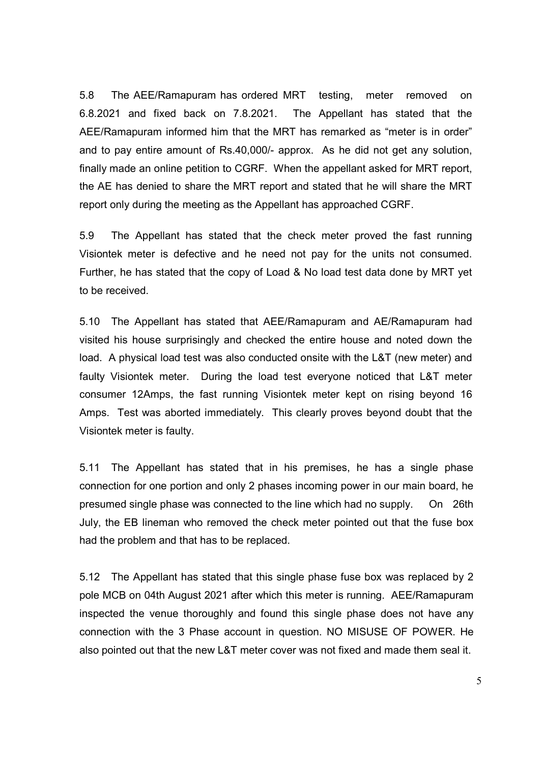5.8 The AEE/Ramapuram has ordered MRT testing, meter removed on 6.8.2021 and fixed back on 7.8.2021. The Appellant has stated that the AEE/Ramapuram informed him that the MRT has remarked as "meter is in order" and to pay entire amount of Rs.40,000/- approx. As he did not get any solution, finally made an online petition to CGRF. When the appellant asked for MRT report, the AE has denied to share the MRT report and stated that he will share the MRT report only during the meeting as the Appellant has approached CGRF.

5.9 The Appellant has stated that the check meter proved the fast running Visiontek meter is defective and he need not pay for the units not consumed. Further, he has stated that the copy of Load & No load test data done by MRT yet to be received.

5.10 The Appellant has stated that AEE/Ramapuram and AE/Ramapuram had visited his house surprisingly and checked the entire house and noted down the load. A physical load test was also conducted onsite with the L&T (new meter) and faulty Visiontek meter. During the load test everyone noticed that L&T meter consumer 12Amps, the fast running Visiontek meter kept on rising beyond 16 Amps. Test was aborted immediately. This clearly proves beyond doubt that the Visiontek meter is faulty.

5.11 The Appellant has stated that in his premises, he has a single phase connection for one portion and only 2 phases incoming power in our main board, he presumed single phase was connected to the line which had no supply. On 26th July, the EB lineman who removed the check meter pointed out that the fuse box had the problem and that has to be replaced.

5.12 The Appellant has stated that this single phase fuse box was replaced by 2 pole MCB on 04th August 2021 after which this meter is running. AEE/Ramapuram inspected the venue thoroughly and found this single phase does not have any connection with the 3 Phase account in question. NO MISUSE OF POWER. He also pointed out that the new L&T meter cover was not fixed and made them seal it.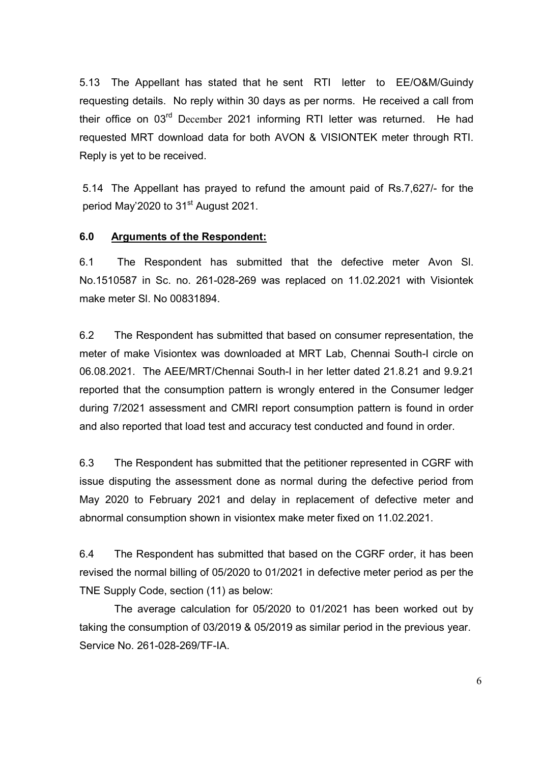5.13 The Appellant has stated that he sent RTI letter to EE/O&M/Guindy requesting details. No reply within 30 days as per norms. He received a call from their office on 03<sup>rd</sup> December 2021 informing RTI letter was returned. He had requested MRT download data for both AVON & VISIONTEK meter through RTI. Reply is yet to be received.

5.14 The Appellant has prayed to refund the amount paid of Rs.7,627/- for the period May'2020 to 31<sup>st</sup> August 2021.

#### **6.0 Arguments of the Respondent:**

6.1 The Respondent has submitted that the defective meter Avon Sl. No.1510587 in Sc. no. 261-028-269 was replaced on 11.02.2021 with Visiontek make meter Sl. No 00831894.

6.2 The Respondent has submitted that based on consumer representation, the meter of make Visiontex was downloaded at MRT Lab, Chennai South-I circle on 06.08.2021. The AEE/MRT/Chennai South-I in her letter dated 21.8.21 and 9.9.21 reported that the consumption pattern is wrongly entered in the Consumer ledger during 7/2021 assessment and CMRI report consumption pattern is found in order and also reported that load test and accuracy test conducted and found in order.

6.3 The Respondent has submitted that the petitioner represented in CGRF with issue disputing the assessment done as normal during the defective period from May 2020 to February 2021 and delay in replacement of defective meter and abnormal consumption shown in visiontex make meter fixed on 11.02.2021.

6.4 The Respondent has submitted that based on the CGRF order, it has been revised the normal billing of 05/2020 to 01/2021 in defective meter period as per the TNE Supply Code, section (11) as below:

 The average calculation for 05/2020 to 01/2021 has been worked out by taking the consumption of 03/2019 & 05/2019 as similar period in the previous year. Service No. 261-028-269/TF-IA.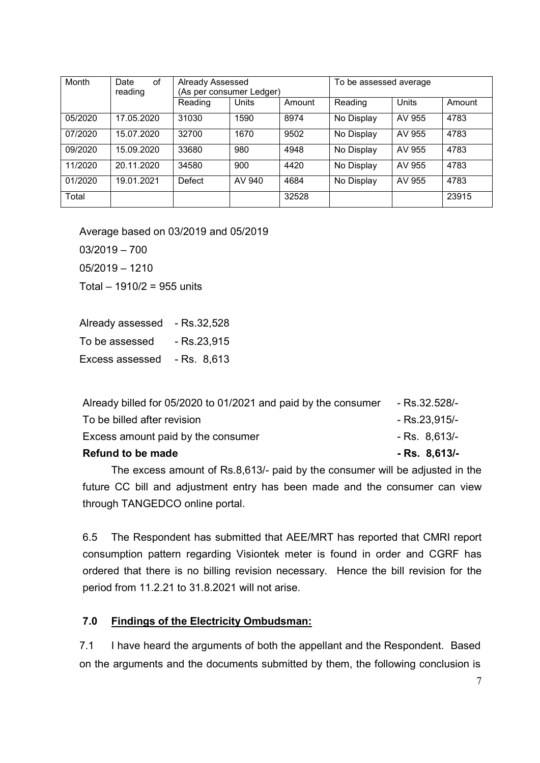| Month   | Date<br>οf<br>reading | Already Assessed<br>(As per consumer Ledger) |              |        | To be assessed average |              |        |
|---------|-----------------------|----------------------------------------------|--------------|--------|------------------------|--------------|--------|
|         |                       | Reading                                      | <b>Units</b> | Amount | Reading                | <b>Units</b> | Amount |
| 05/2020 | 17.05.2020            | 31030                                        | 1590         | 8974   | No Display             | AV 955       | 4783   |
| 07/2020 | 15.07.2020            | 32700                                        | 1670         | 9502   | No Display             | AV 955       | 4783   |
| 09/2020 | 15.09.2020            | 33680                                        | 980          | 4948   | No Display             | AV 955       | 4783   |
| 11/2020 | 20.11.2020            | 34580                                        | 900          | 4420   | No Display             | AV 955       | 4783   |
| 01/2020 | 19.01.2021            | Defect                                       | AV 940       | 4684   | No Display             | AV 955       | 4783   |
| Total   |                       |                                              |              | 32528  |                        |              | 23915  |

Average based on 03/2019 and 05/2019

03/2019 – 700

05/2019 – 1210

Total – 1910/2 = 955 units

Already assessed - Rs.32,528 To be assessed - Rs.23,915 Excess assessed - Rs. 8,613

| Refund to be made                                              | $-Rs. 8.613/-$ |
|----------------------------------------------------------------|----------------|
| Excess amount paid by the consumer                             | $-Rs. 8.613/-$ |
| To be billed after revision                                    | - Rs.23,915/-  |
| Already billed for 05/2020 to 01/2021 and paid by the consumer | - Rs.32.528/-  |

The excess amount of Rs.8,613/- paid by the consumer will be adjusted in the future CC bill and adjustment entry has been made and the consumer can view through TANGEDCO online portal.

6.5 The Respondent has submitted that AEE/MRT has reported that CMRI report consumption pattern regarding Visiontek meter is found in order and CGRF has ordered that there is no billing revision necessary. Hence the bill revision for the period from 11.2.21 to 31.8.2021 will not arise.

#### **7.0 Findings of the Electricity Ombudsman:**

7.1 I have heard the arguments of both the appellant and the Respondent. Based on the arguments and the documents submitted by them, the following conclusion is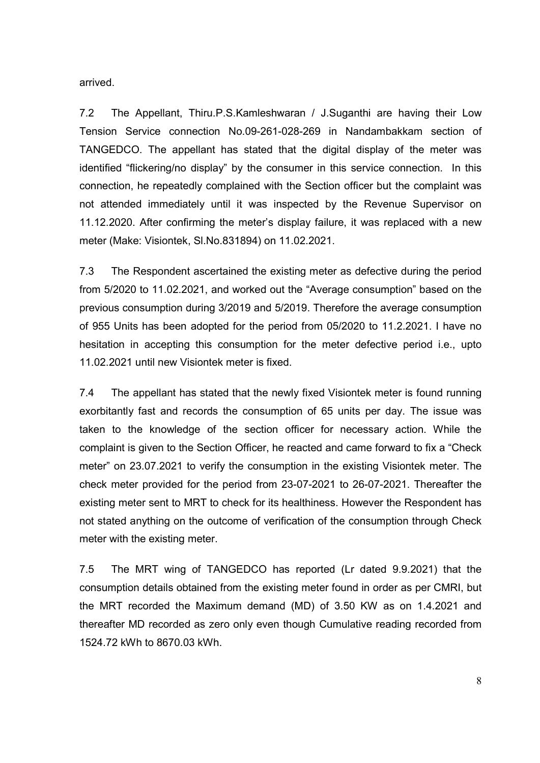arrived.

7.2 The Appellant, Thiru.P.S.Kamleshwaran / J.Suganthi are having their Low Tension Service connection No.09-261-028-269 in Nandambakkam section of TANGEDCO. The appellant has stated that the digital display of the meter was identified "flickering/no display" by the consumer in this service connection. In this connection, he repeatedly complained with the Section officer but the complaint was not attended immediately until it was inspected by the Revenue Supervisor on 11.12.2020. After confirming the meter's display failure, it was replaced with a new meter (Make: Visiontek, Sl.No.831894) on 11.02.2021.

7.3 The Respondent ascertained the existing meter as defective during the period from 5/2020 to 11.02.2021, and worked out the "Average consumption" based on the previous consumption during 3/2019 and 5/2019. Therefore the average consumption of 955 Units has been adopted for the period from 05/2020 to 11.2.2021. I have no hesitation in accepting this consumption for the meter defective period i.e., upto 11.02.2021 until new Visiontek meter is fixed.

7.4 The appellant has stated that the newly fixed Visiontek meter is found running exorbitantly fast and records the consumption of 65 units per day. The issue was taken to the knowledge of the section officer for necessary action. While the complaint is given to the Section Officer, he reacted and came forward to fix a "Check meter" on 23.07.2021 to verify the consumption in the existing Visiontek meter. The check meter provided for the period from 23-07-2021 to 26-07-2021. Thereafter the existing meter sent to MRT to check for its healthiness. However the Respondent has not stated anything on the outcome of verification of the consumption through Check meter with the existing meter.

7.5 The MRT wing of TANGEDCO has reported (Lr dated 9.9.2021) that the consumption details obtained from the existing meter found in order as per CMRI, but the MRT recorded the Maximum demand (MD) of 3.50 KW as on 1.4.2021 and thereafter MD recorded as zero only even though Cumulative reading recorded from 1524.72 kWh to 8670.03 kWh.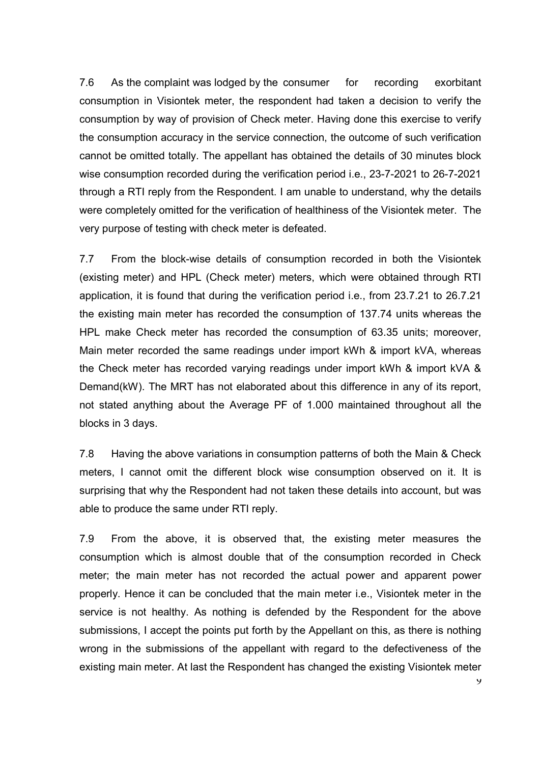7.6 As the complaint was lodged by the consumer for recording exorbitant consumption in Visiontek meter, the respondent had taken a decision to verify the consumption by way of provision of Check meter. Having done this exercise to verify the consumption accuracy in the service connection, the outcome of such verification cannot be omitted totally. The appellant has obtained the details of 30 minutes block wise consumption recorded during the verification period i.e., 23-7-2021 to 26-7-2021 through a RTI reply from the Respondent. I am unable to understand, why the details were completely omitted for the verification of healthiness of the Visiontek meter. The very purpose of testing with check meter is defeated.

7.7 From the block-wise details of consumption recorded in both the Visiontek (existing meter) and HPL (Check meter) meters, which were obtained through RTI application, it is found that during the verification period i.e., from 23.7.21 to 26.7.21 the existing main meter has recorded the consumption of 137.74 units whereas the HPL make Check meter has recorded the consumption of 63.35 units; moreover, Main meter recorded the same readings under import kWh & import kVA, whereas the Check meter has recorded varying readings under import kWh & import kVA & Demand(kW). The MRT has not elaborated about this difference in any of its report, not stated anything about the Average PF of 1.000 maintained throughout all the blocks in 3 days.

7.8 Having the above variations in consumption patterns of both the Main & Check meters, I cannot omit the different block wise consumption observed on it. It is surprising that why the Respondent had not taken these details into account, but was able to produce the same under RTI reply.

7.9 From the above, it is observed that, the existing meter measures the consumption which is almost double that of the consumption recorded in Check meter; the main meter has not recorded the actual power and apparent power properly. Hence it can be concluded that the main meter i.e., Visiontek meter in the service is not healthy. As nothing is defended by the Respondent for the above submissions, I accept the points put forth by the Appellant on this, as there is nothing wrong in the submissions of the appellant with regard to the defectiveness of the existing main meter. At last the Respondent has changed the existing Visiontek meter

 $\mathbf{y}$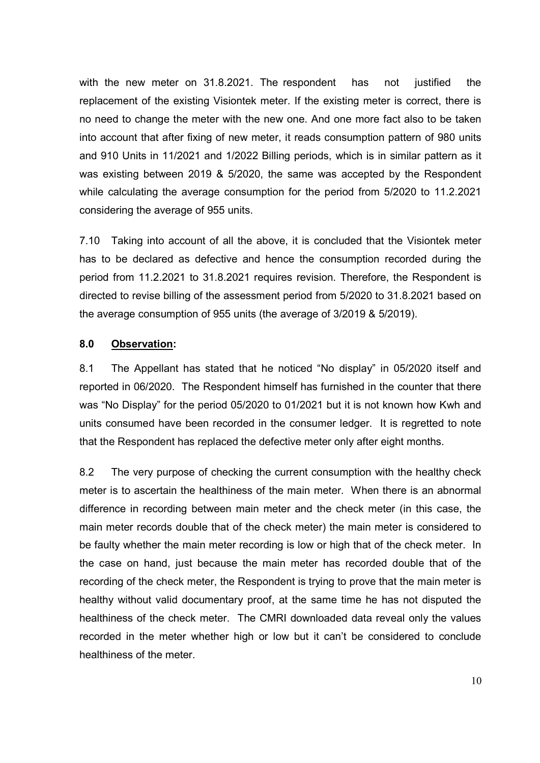with the new meter on 31.8.2021. The respondent has not justified the replacement of the existing Visiontek meter. If the existing meter is correct, there is no need to change the meter with the new one. And one more fact also to be taken into account that after fixing of new meter, it reads consumption pattern of 980 units and 910 Units in 11/2021 and 1/2022 Billing periods, which is in similar pattern as it was existing between 2019 & 5/2020, the same was accepted by the Respondent while calculating the average consumption for the period from 5/2020 to 11.2.2021 considering the average of 955 units.

7.10 Taking into account of all the above, it is concluded that the Visiontek meter has to be declared as defective and hence the consumption recorded during the period from 11.2.2021 to 31.8.2021 requires revision. Therefore, the Respondent is directed to revise billing of the assessment period from 5/2020 to 31.8.2021 based on the average consumption of 955 units (the average of 3/2019 & 5/2019).

#### **8.0 Observation:**

8.1 The Appellant has stated that he noticed "No display" in 05/2020 itself and reported in 06/2020. The Respondent himself has furnished in the counter that there was "No Display" for the period 05/2020 to 01/2021 but it is not known how Kwh and units consumed have been recorded in the consumer ledger. It is regretted to note that the Respondent has replaced the defective meter only after eight months.

8.2 The very purpose of checking the current consumption with the healthy check meter is to ascertain the healthiness of the main meter. When there is an abnormal difference in recording between main meter and the check meter (in this case, the main meter records double that of the check meter) the main meter is considered to be faulty whether the main meter recording is low or high that of the check meter. In the case on hand, just because the main meter has recorded double that of the recording of the check meter, the Respondent is trying to prove that the main meter is healthy without valid documentary proof, at the same time he has not disputed the healthiness of the check meter. The CMRI downloaded data reveal only the values recorded in the meter whether high or low but it can't be considered to conclude healthiness of the meter.